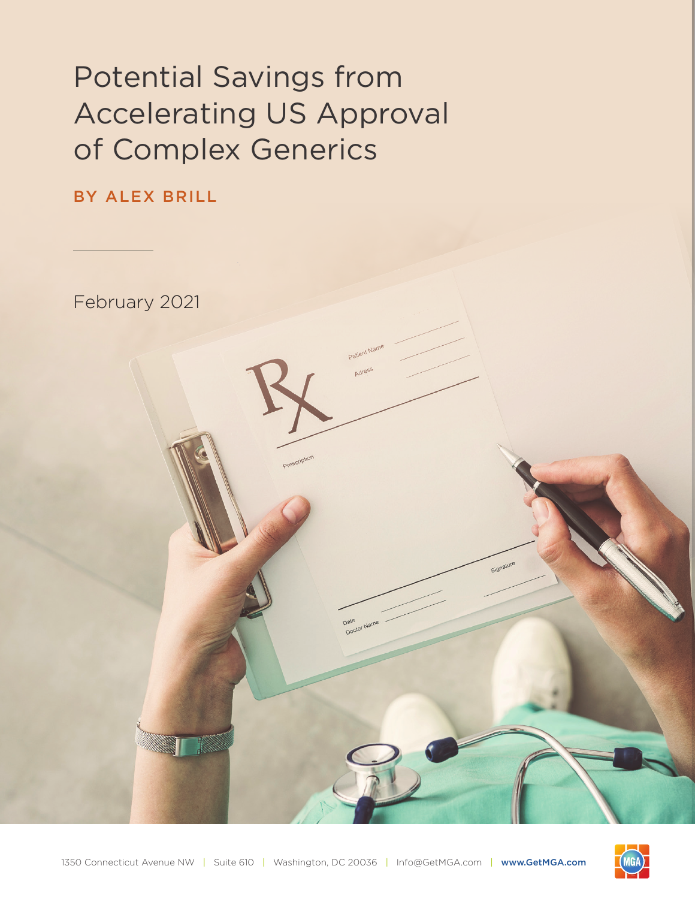# Potential Savings from Accelerating US Approval of Complex Generics

# BY ALEX BRILL

February 2021



Date<br>Doctor Nam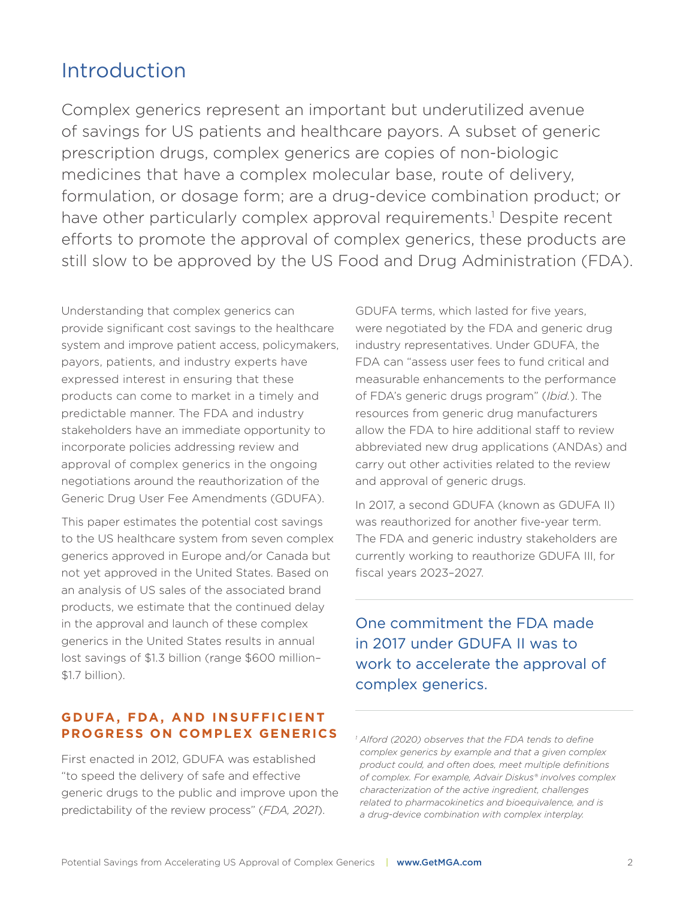# Introduction

Complex generics represent an important but underutilized avenue of savings for US patients and healthcare payors. A subset of generic prescription drugs, complex generics are copies of non-biologic medicines that have a complex molecular base, route of delivery, formulation, or dosage form; are a drug-device combination product; or have other particularly complex approval requirements.<sup>1</sup> Despite recent efforts to promote the approval of complex generics, these products are still slow to be approved by the US Food and Drug Administration (FDA).

Understanding that complex generics can provide significant cost savings to the healthcare system and improve patient access, policymakers, payors, patients, and industry experts have expressed interest in ensuring that these products can come to market in a timely and predictable manner. The FDA and industry stakeholders have an immediate opportunity to incorporate policies addressing review and approval of complex generics in the ongoing negotiations around the reauthorization of the Generic Drug User Fee Amendments (GDUFA).

This paper estimates the potential cost savings to the US healthcare system from seven complex generics approved in Europe and/or Canada but not yet approved in the United States. Based on an analysis of US sales of the associated brand products, we estimate that the continued delay in the approval and launch of these complex generics in the United States results in annual lost savings of \$1.3 billion (range \$600 million– \$1.7 billion).

## **GDUFA, FDA, AND INSUFFICIENT PROGRESS ON COMPLEX GENERICS**

First enacted in 2012, GDUFA was established "to speed the delivery of safe and effective generic drugs to the public and improve upon the predictability of the review process" (*FDA, 2021*).

GDUFA terms, which lasted for five years, were negotiated by the FDA and generic drug industry representatives. Under GDUFA, the FDA can "assess user fees to fund critical and measurable enhancements to the performance of FDA's generic drugs program" (*Ibid.*). The resources from generic drug manufacturers allow the FDA to hire additional staff to review abbreviated new drug applications (ANDAs) and carry out other activities related to the review and approval of generic drugs.

In 2017, a second GDUFA (known as GDUFA II) was reauthorized for another five-year term. The FDA and generic industry stakeholders are currently working to reauthorize GDUFA III, for fiscal years 2023–2027.

One commitment the FDA made in 2017 under GDUFA II was to work to accelerate the approval of complex generics.

*<sup>1</sup> Alford (2020) observes that the FDA tends to define complex generics by example and that a given complex product could, and often does, meet multiple definitions of complex. For example, Advair Diskus® involves complex characterization of the active ingredient, challenges related to pharmacokinetics and bioequivalence, and is a drug-device combination with complex interplay.*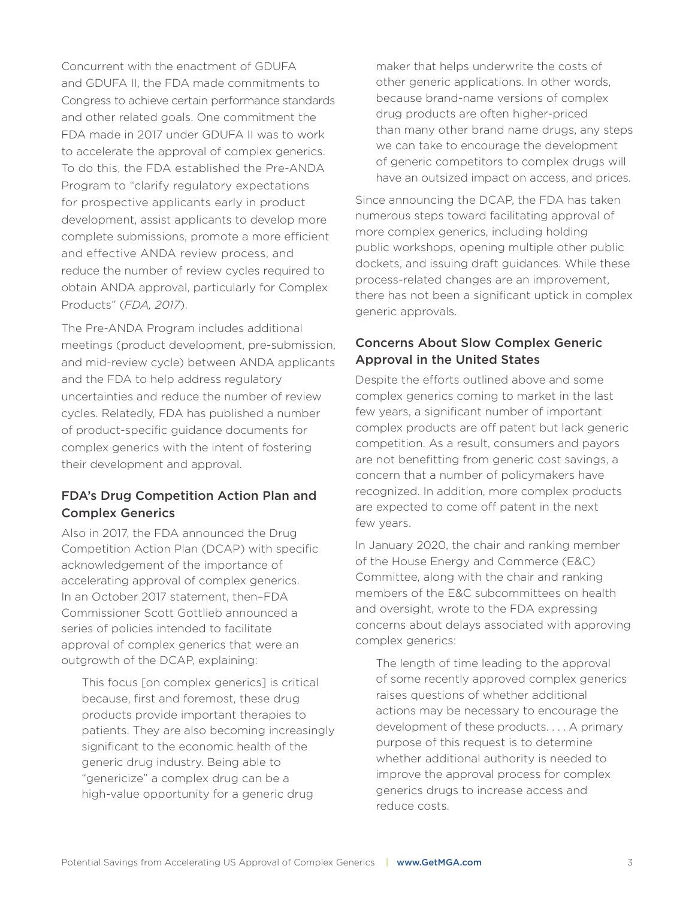Concurrent with the enactment of GDUFA and GDUFA II, the FDA made commitments to Congress to achieve certain performance standards and other related goals. One commitment the FDA made in 2017 under GDUFA II was to work to accelerate the approval of complex generics. To do this, the FDA established the Pre-ANDA Program to "clarify regulatory expectations for prospective applicants early in product development, assist applicants to develop more complete submissions, promote a more efficient and effective ANDA review process, and reduce the number of review cycles required to obtain ANDA approval, particularly for Complex Products" (*FDA, 2017*).

The Pre-ANDA Program includes additional meetings (product development, pre-submission, and mid-review cycle) between ANDA applicants and the FDA to help address regulatory uncertainties and reduce the number of review cycles. Relatedly, FDA has published a number of product-specific guidance documents for complex generics with the intent of fostering their development and approval.

# FDA's Drug Competition Action Plan and Complex Generics

Also in 2017, the FDA announced the Drug Competition Action Plan (DCAP) with specific acknowledgement of the importance of accelerating approval of complex generics. In an October 2017 statement, then–FDA Commissioner Scott Gottlieb announced a series of policies intended to facilitate approval of complex generics that were an outgrowth of the DCAP, explaining:

 This focus [on complex generics] is critical because, first and foremost, these drug products provide important therapies to patients. They are also becoming increasingly significant to the economic health of the generic drug industry. Being able to "genericize" a complex drug can be a high-value opportunity for a generic drug

maker that helps underwrite the costs of other generic applications. In other words, because brand-name versions of complex drug products are often higher-priced than many other brand name drugs, any steps we can take to encourage the development of generic competitors to complex drugs will have an outsized impact on access, and prices.

Since announcing the DCAP, the FDA has taken numerous steps toward facilitating approval of more complex generics, including holding public workshops, opening multiple other public dockets, and issuing draft guidances. While these process-related changes are an improvement, there has not been a significant uptick in complex generic approvals.

# Concerns About Slow Complex Generic Approval in the United States

Despite the efforts outlined above and some complex generics coming to market in the last few years, a significant number of important complex products are off patent but lack generic competition. As a result, consumers and payors are not benefitting from generic cost savings, a concern that a number of policymakers have recognized. In addition, more complex products are expected to come off patent in the next few years.

In January 2020, the chair and ranking member of the House Energy and Commerce (E&C) Committee, along with the chair and ranking members of the E&C subcommittees on health and oversight, wrote to the FDA expressing concerns about delays associated with approving complex generics:

 The length of time leading to the approval of some recently approved complex generics raises questions of whether additional actions may be necessary to encourage the development of these products. . . . A primary purpose of this request is to determine whether additional authority is needed to improve the approval process for complex generics drugs to increase access and reduce costs.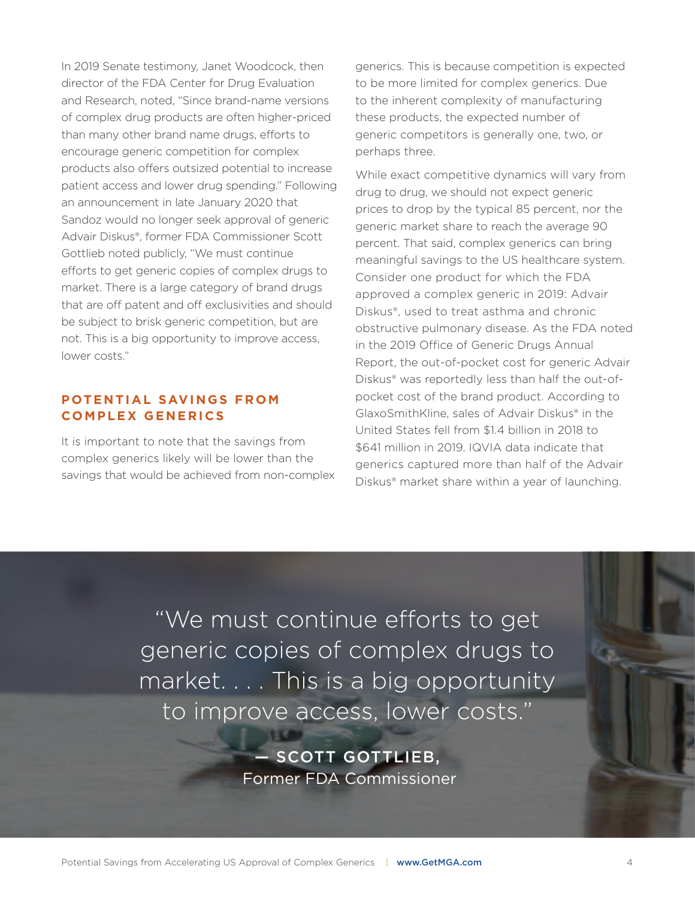In 2019 Senate testimony, Janet Woodcock, then director of the FDA Center for Drug Evaluation and Research, noted, "Since brand-name versions of complex drug products are often higher-priced than many other brand name drugs, efforts to encourage generic competition for complex products also offers outsized potential to increase patient access and lower drug spending." Following an announcement in late January 2020 that Sandoz would no longer seek approval of generic Advair Diskus®, former FDA Commissioner Scott Gottlieb noted publicly, "We must continue efforts to get generic copies of complex drugs to market. There is a large category of brand drugs that are off patent and off exclusivities and should be subject to brisk generic competition, but are not. This is a big opportunity to improve access, lower costs."

## **POTENTIAL SAVINGS FROM CO M P L E X G E N E R I C S**

It is important to note that the savings from complex generics likely will be lower than the savings that would be achieved from non-complex generics. This is because competition is expected to be more limited for complex generics. Due to the inherent complexity of manufacturing these products, the expected number of generic competitors is generally one, two, or perhaps three.

While exact competitive dynamics will vary from drug to drug, we should not expect generic prices to drop by the typical 85 percent, nor the generic market share to reach the average 90 percent. That said, complex generics can bring meaningful savings to the US healthcare system. Consider one product for which the FDA approved a complex generic in 2019: Advair Diskus®, used to treat asthma and chronic obstructive pulmonary disease. As the FDA noted in the 2019 Office of Generic Drugs Annual Report, the out-of-pocket cost for generic Advair Diskus® was reportedly less than half the out-ofpocket cost of the brand product. According to GlaxoSmithKline, sales of Advair Diskus® in the United States fell from \$1.4 billion in 2018 to \$641 million in 2019. IQVIA data indicate that generics captured more than half of the Advair Diskus® market share within a year of launching.

"We must continue efforts to get generic copies of complex drugs to market. . . . This is a big opportunity to improve access, lower costs."

> — SCOTT GOTTLIEB, Former FDA Commissioner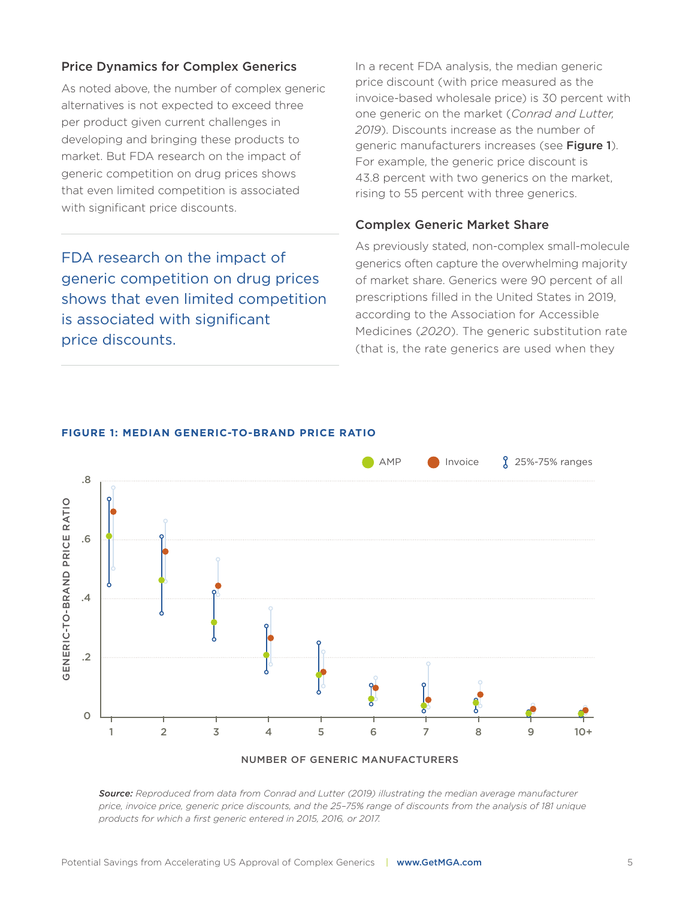#### Price Dynamics for Complex Generics

As noted above, the number of complex generic alternatives is not expected to exceed three per product given current challenges in developing and bringing these products to market. But FDA research on the impact of generic competition on drug prices shows that even limited competition is associated with significant price discounts.

FDA research on the impact of generic competition on drug prices shows that even limited competition is associated with significant price discounts.

In a recent FDA analysis, the median generic price discount (with price measured as the invoice-based wholesale price) is 30 percent with one generic on the market (*Conrad and Lutter, 2019*). Discounts increase as the number of generic manufacturers increases (see Figure 1). For example, the generic price discount is 43.8 percent with two generics on the market, rising to 55 percent with three generics.

#### Complex Generic Market Share

As previously stated, non-complex small-molecule generics often capture the overwhelming majority of market share. Generics were 90 percent of all prescriptions filled in the United States in 2019, according to the Association for Accessible Medicines (*2020*). The generic substitution rate (that is, the rate generics are used when they



#### **FIGURE 1: MEDIAN GENERIC-TO-BRAND PRICE RATIO**

*Source: Reproduced from data from Conrad and Lutter (2019) illustrating the median average manufacturer price, invoice price, generic price discounts, and the 25–75% range of discounts from the analysis of 181 unique products for which a first generic entered in 2015, 2016, or 2017.*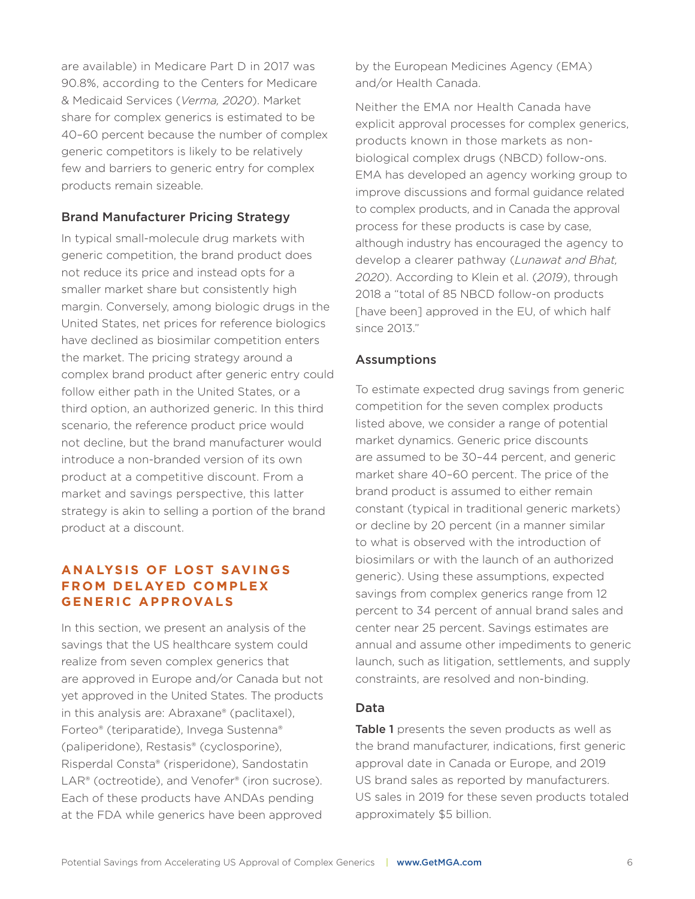are available) in Medicare Part D in 2017 was 90.8%, according to the Centers for Medicare & Medicaid Services (*Verma, 2020*). Market share for complex generics is estimated to be 40–60 percent because the number of complex generic competitors is likely to be relatively few and barriers to generic entry for complex products remain sizeable.

#### Brand Manufacturer Pricing Strategy

In typical small-molecule drug markets with generic competition, the brand product does not reduce its price and instead opts for a smaller market share but consistently high margin. Conversely, among biologic drugs in the United States, net prices for reference biologics have declined as biosimilar competition enters the market. The pricing strategy around a complex brand product after generic entry could follow either path in the United States, or a third option, an authorized generic. In this third scenario, the reference product price would not decline, but the brand manufacturer would introduce a non-branded version of its own product at a competitive discount. From a market and savings perspective, this latter strategy is akin to selling a portion of the brand product at a discount.

## **ANALYSIS OF LOST SAVINGS FROM DELAYED COMPLEX GENERIC APPROVALS**

In this section, we present an analysis of the savings that the US healthcare system could realize from seven complex generics that are approved in Europe and/or Canada but not yet approved in the United States. The products in this analysis are: Abraxane® (paclitaxel), Forteo® (teriparatide), Invega Sustenna® (paliperidone), Restasis® (cyclosporine), Risperdal Consta® (risperidone), Sandostatin LAR<sup>®</sup> (octreotide), and Venofer<sup>®</sup> (iron sucrose). Each of these products have ANDAs pending at the FDA while generics have been approved

by the European Medicines Agency (EMA) and/or Health Canada.

Neither the EMA nor Health Canada have explicit approval processes for complex generics, products known in those markets as nonbiological complex drugs (NBCD) follow-ons. EMA has developed an agency working group to improve discussions and formal guidance related to complex products, and in Canada the approval process for these products is case by case, although industry has encouraged the agency to develop a clearer pathway (*Lunawat and Bhat, 2020*). According to Klein et al. (*2019*), through 2018 a "total of 85 NBCD follow-on products [have been] approved in the EU, of which half since 2013."

#### Assumptions

To estimate expected drug savings from generic competition for the seven complex products listed above, we consider a range of potential market dynamics. Generic price discounts are assumed to be 30–44 percent, and generic market share 40–60 percent. The price of the brand product is assumed to either remain constant (typical in traditional generic markets) or decline by 20 percent (in a manner similar to what is observed with the introduction of biosimilars or with the launch of an authorized generic). Using these assumptions, expected savings from complex generics range from 12 percent to 34 percent of annual brand sales and center near 25 percent. Savings estimates are annual and assume other impediments to generic launch, such as litigation, settlements, and supply constraints, are resolved and non-binding.

#### Data

Table 1 presents the seven products as well as the brand manufacturer, indications, first generic approval date in Canada or Europe, and 2019 US brand sales as reported by manufacturers. US sales in 2019 for these seven products totaled approximately \$5 billion.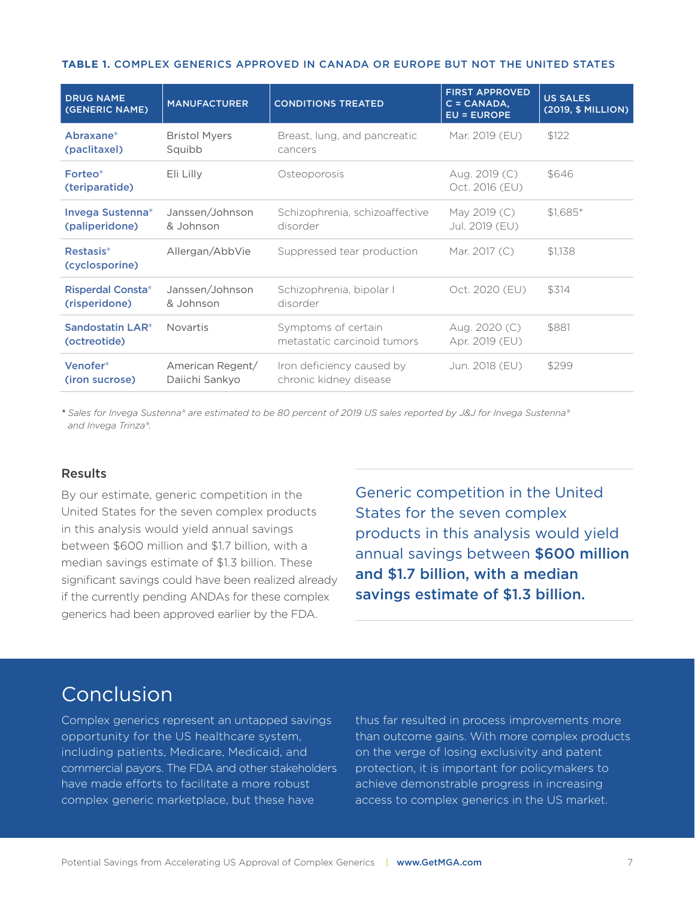#### **TABLE 1.** COMPLEX GENERICS APPROVED IN CANADA OR EUROPE BUT NOT THE UNITED STATES

| <b>DRUG NAME</b><br>(GENERIC NAME)           | <b>MANUFACTURER</b>                | <b>CONDITIONS TREATED</b>                           | <b>FIRST APPROVED</b><br>$C = CANADA,$<br><b>EU = EUROPE</b> | <b>US SALES</b><br>(2019, \$ MILLION) |
|----------------------------------------------|------------------------------------|-----------------------------------------------------|--------------------------------------------------------------|---------------------------------------|
| Abraxane®<br>(paclitaxel)                    | <b>Bristol Myers</b><br>Squibb     | Breast, lung, and pancreatic<br>cancers             | Mar. 2019 (EU)                                               | \$122                                 |
| Forteo <sup>®</sup><br>(teriparatide)        | Eli Lilly                          | Osteoporosis                                        | Aug. 2019 (C)<br>Oct. 2016 (EU)                              | \$646                                 |
| <b>Invega Sustenna®</b><br>(paliperidone)    | Janssen/Johnson<br>& Johnson       | Schizophrenia, schizoaffective<br>disorder          | May 2019 (C)<br>Jul. 2019 (EU)                               | $$1,685$ *                            |
| Restasis <sup>®</sup><br>(cyclosporine)      | Allergan/AbbVie                    | Suppressed tear production                          | Mar. 2017 (C)                                                | \$1.138                               |
| <b>Risperdal Consta®</b><br>(risperidone)    | Janssen/Johnson<br>& Johnson       | Schizophrenia, bipolar I<br>disorder                | Oct. 2020 (EU)                                               | \$314                                 |
| Sandostatin LAR <sup>®</sup><br>(octreotide) | <b>Novartis</b>                    | Symptoms of certain<br>metastatic carcinoid tumors  | Aug. 2020 (C)<br>Apr. 2019 (EU)                              | \$881                                 |
| Venofer®<br>(iron sucrose)                   | American Regent/<br>Daiichi Sankyo | Iron deficiency caused by<br>chronic kidney disease | Jun. 2018 (EU)                                               | \$299                                 |

*\* Sales for Invega Sustenna® are estimated to be 80 percent of 2019 US sales reported by J&J for Invega Sustenna® and Invega Trinza®.*

#### Results

By our estimate, generic competition in the United States for the seven complex products in this analysis would yield annual savings between \$600 million and \$1.7 billion, with a median savings estimate of \$1.3 billion. These significant savings could have been realized already if the currently pending ANDAs for these complex generics had been approved earlier by the FDA.

Generic competition in the United States for the seven complex products in this analysis would yield annual savings between \$600 million and \$1.7 billion, with a median savings estimate of \$1.3 billion.

# Conclusion

Complex generics represent an untapped savings opportunity for the US healthcare system, including patients, Medicare, Medicaid, and commercial payors. The FDA and other stakeholders have made efforts to facilitate a more robust complex generic marketplace, but these have

thus far resulted in process improvements more than outcome gains. With more complex products on the verge of losing exclusivity and patent protection, it is important for policymakers to achieve demonstrable progress in increasing access to complex generics in the US market.